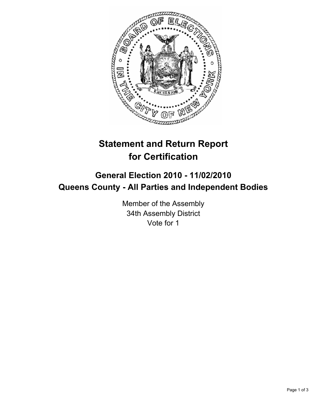

## **Statement and Return Report for Certification**

## **General Election 2010 - 11/02/2010 Queens County - All Parties and Independent Bodies**

Member of the Assembly 34th Assembly District Vote for 1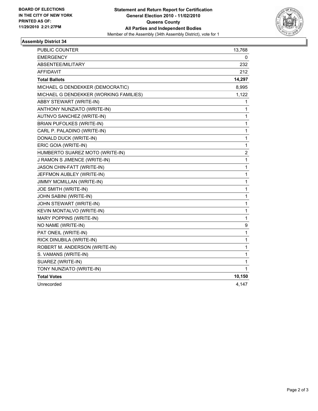

## **Assembly District 34**

| PUBLIC COUNTER                         | 13,768 |
|----------------------------------------|--------|
| <b>EMERGENCY</b>                       | 0      |
| ABSENTEE/MILITARY                      | 232    |
| <b>AFFIDAVIT</b>                       | 212    |
| <b>Total Ballots</b>                   | 14,297 |
| MICHAEL G DENDEKKER (DEMOCRATIC)       | 8,995  |
| MICHAEL G DENDEKKER (WORKING FAMILIES) | 1,122  |
| ABBY STEWART (WRITE-IN)                | 1      |
| ANTHONY NUNZIATO (WRITE-IN)            | 1      |
| AUTNVO SANCHEZ (WRITE-IN)              | 1      |
| <b>BRIAN PUFOLKES (WRITE-IN)</b>       | 1      |
| CARL P. PALADINO (WRITE-IN)            | 1      |
| DONALD DUCK (WRITE-IN)                 | 1      |
| ERIC GOIA (WRITE-IN)                   | 1      |
| HUMBERTO SUAREZ MOTO (WRITE-IN)        | 2      |
| J RAMON S JIMENCE (WRITE-IN)           | 1      |
| JASON CHIN-FATT (WRITE-IN)             | 1      |
| JEFFMON AUBLEY (WRITE-IN)              | 1      |
| JIMMY MCMILLAN (WRITE-IN)              | 1      |
| JOE SMITH (WRITE-IN)                   | 1      |
| <b>JOHN SABINI (WRITE-IN)</b>          | 1      |
| JOHN STEWART (WRITE-IN)                | 1      |
| KEVIN MONTALVO (WRITE-IN)              | 1      |
| MARY POPPINS (WRITE-IN)                | 1      |
| NO NAME (WRITE-IN)                     | 9      |
| PAT ONEIL (WRITE-IN)                   | 1      |
| RICK DINUBILA (WRITE-IN)               | 1      |
| ROBERT M. ANDERSON (WRITE-IN)          | 1      |
| S. VAMANS (WRITE-IN)                   | 1      |
| SUAREZ (WRITE-IN)                      | 1      |
| TONY NUNZIATO (WRITE-IN)               | 1      |
| <b>Total Votes</b>                     | 10,150 |
| Unrecorded                             | 4,147  |